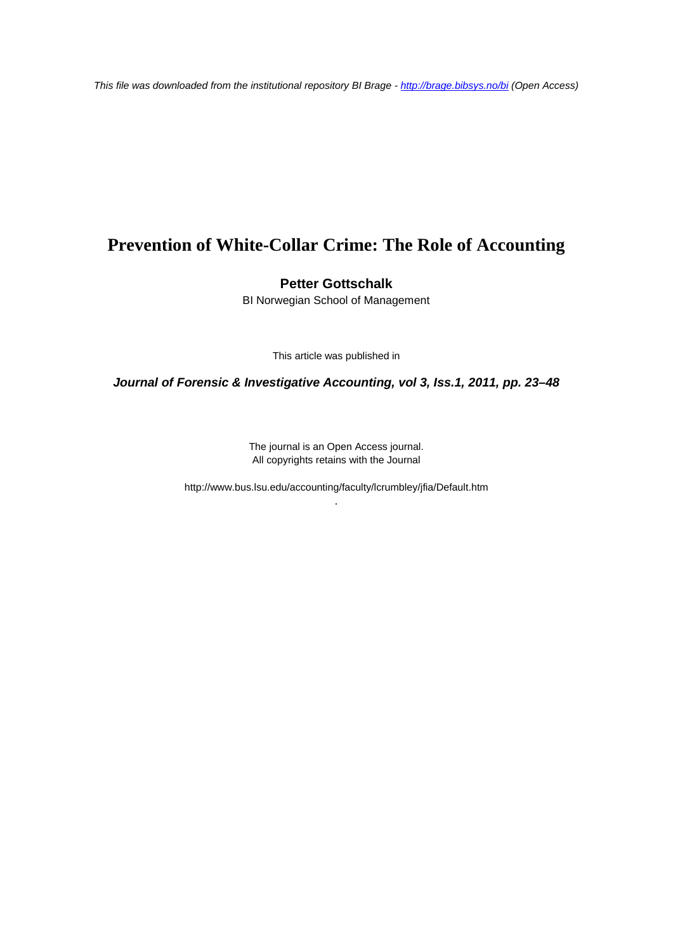*This file was downloaded from the institutional repository BI Brage - <http://brage.bibsys.no/bi> (Open Access)*

# **Prevention of White-Collar Crime: The Role of Accounting**

### **Petter Gottschalk**

BI Norwegian School of Management

This article was published in

*Journal of Forensic & Investigative Accounting, vol 3, Iss.1, 2011, pp. 23–48*

The journal is an Open Access journal. All copyrights retains with the Journal

http://www.bus.lsu.edu/accounting/faculty/lcrumbley/jfia/Default.htm .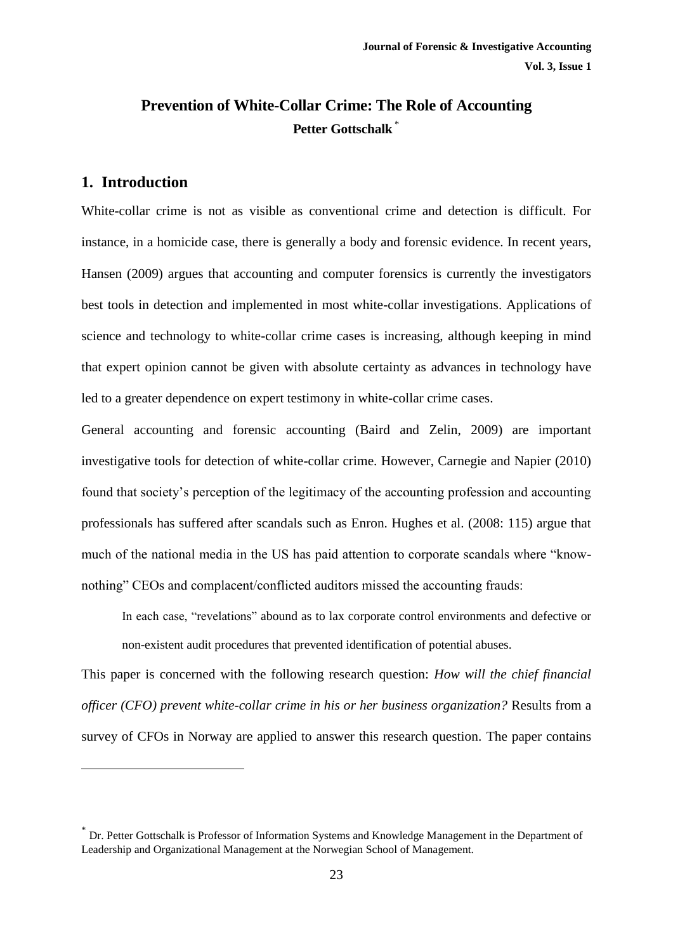## **Prevention of White-Collar Crime: The Role of Accounting Petter Gottschalk** \*

## **1. Introduction**

1

White-collar crime is not as visible as conventional crime and detection is difficult. For instance, in a homicide case, there is generally a body and forensic evidence. In recent years, Hansen (2009) argues that accounting and computer forensics is currently the investigators best tools in detection and implemented in most white-collar investigations. Applications of science and technology to white-collar crime cases is increasing, although keeping in mind that expert opinion cannot be given with absolute certainty as advances in technology have led to a greater dependence on expert testimony in white-collar crime cases.

General accounting and forensic accounting (Baird and Zelin, 2009) are important investigative tools for detection of white-collar crime. However, Carnegie and Napier (2010) found that society's perception of the legitimacy of the accounting profession and accounting professionals has suffered after scandals such as Enron. Hughes et al. (2008: 115) argue that much of the national media in the US has paid attention to corporate scandals where "knownothing" CEOs and complacent/conflicted auditors missed the accounting frauds:

In each case, "revelations" abound as to lax corporate control environments and defective or non-existent audit procedures that prevented identification of potential abuses.

This paper is concerned with the following research question: *How will the chief financial officer (CFO) prevent white-collar crime in his or her business organization?* Results from a survey of CFOs in Norway are applied to answer this research question. The paper contains

<sup>\*</sup> Dr. Petter Gottschalk is Professor of Information Systems and Knowledge Management in the Department of Leadership and Organizational Management at the Norwegian School of Management.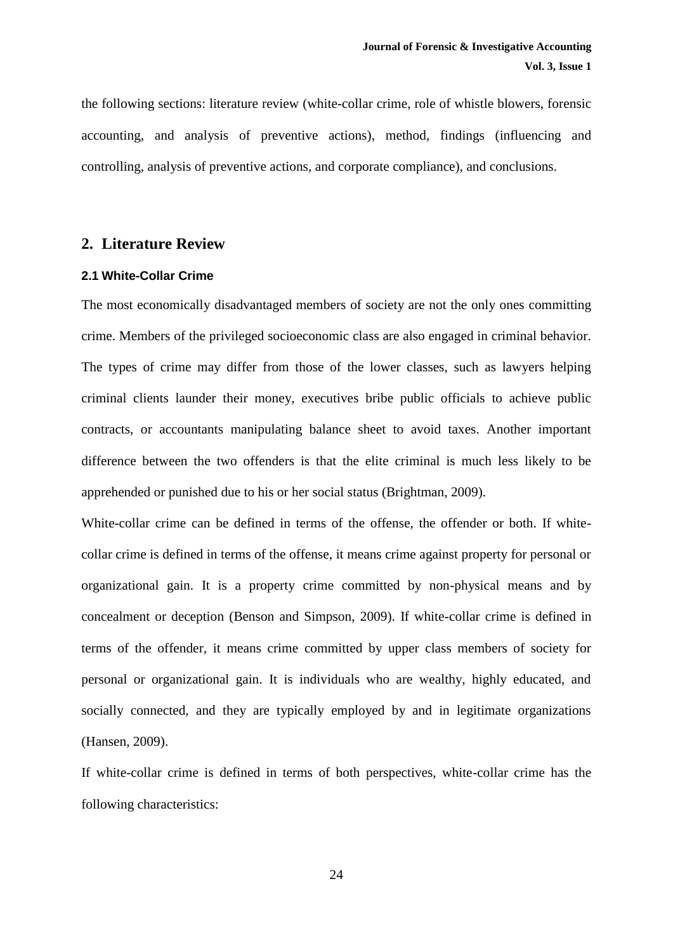the following sections: literature review (white-collar crime, role of whistle blowers, forensic accounting, and analysis of preventive actions), method, findings (influencing and controlling, analysis of preventive actions, and corporate compliance), and conclusions.

## **2. Literature Review**

#### **2.1 White-Collar Crime**

The most economically disadvantaged members of society are not the only ones committing crime. Members of the privileged socioeconomic class are also engaged in criminal behavior. The types of crime may differ from those of the lower classes, such as lawyers helping criminal clients launder their money, executives bribe public officials to achieve public contracts, or accountants manipulating balance sheet to avoid taxes. Another important difference between the two offenders is that the elite criminal is much less likely to be apprehended or punished due to his or her social status (Brightman, 2009).

White-collar crime can be defined in terms of the offense, the offender or both. If whitecollar crime is defined in terms of the offense, it means crime against property for personal or organizational gain. It is a property crime committed by non-physical means and by concealment or deception (Benson and Simpson, 2009). If white-collar crime is defined in terms of the offender, it means crime committed by upper class members of society for personal or organizational gain. It is individuals who are wealthy, highly educated, and socially connected, and they are typically employed by and in legitimate organizations (Hansen, 2009).

If white-collar crime is defined in terms of both perspectives, white-collar crime has the following characteristics: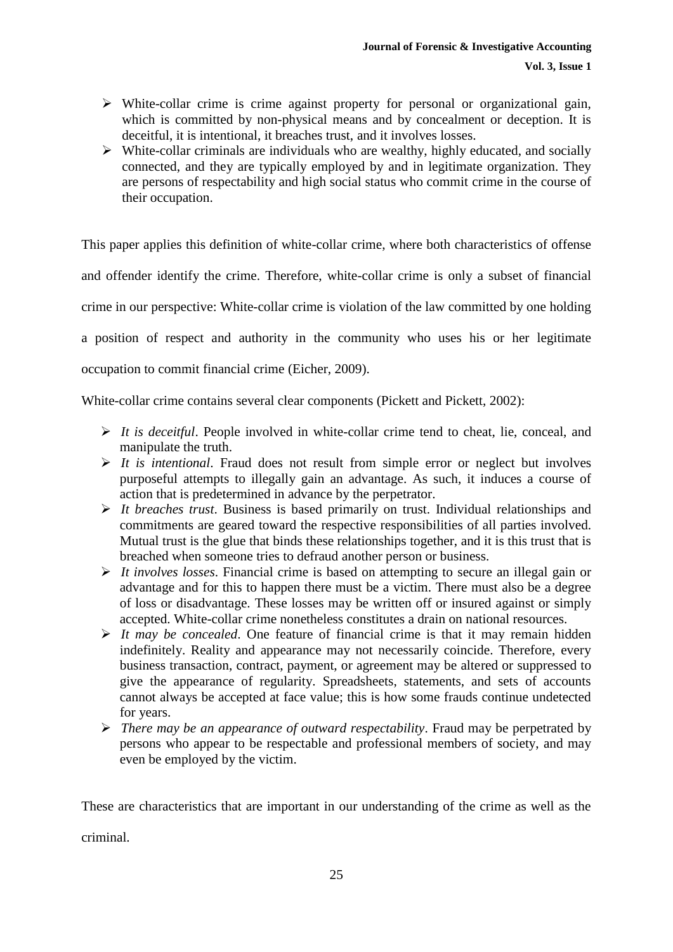- $\triangleright$  White-collar crime is crime against property for personal or organizational gain, which is committed by non-physical means and by concealment or deception. It is deceitful, it is intentional, it breaches trust, and it involves losses.
- $\triangleright$  White-collar criminals are individuals who are wealthy, highly educated, and socially connected, and they are typically employed by and in legitimate organization. They are persons of respectability and high social status who commit crime in the course of their occupation.

This paper applies this definition of white-collar crime, where both characteristics of offense and offender identify the crime. Therefore, white-collar crime is only a subset of financial crime in our perspective: White-collar crime is violation of the law committed by one holding a position of respect and authority in the community who uses his or her legitimate occupation to commit financial crime (Eicher, 2009).

White-collar crime contains several clear components (Pickett and Pickett, 2002):

- *It is deceitful*. People involved in white-collar crime tend to cheat, lie, conceal, and manipulate the truth.
- $\triangleright$  *It is intentional.* Fraud does not result from simple error or neglect but involves purposeful attempts to illegally gain an advantage. As such, it induces a course of action that is predetermined in advance by the perpetrator.
- *It breaches trust*. Business is based primarily on trust. Individual relationships and commitments are geared toward the respective responsibilities of all parties involved. Mutual trust is the glue that binds these relationships together, and it is this trust that is breached when someone tries to defraud another person or business.
- *It involves losses*. Financial crime is based on attempting to secure an illegal gain or advantage and for this to happen there must be a victim. There must also be a degree of loss or disadvantage. These losses may be written off or insured against or simply accepted. White-collar crime nonetheless constitutes a drain on national resources.
- $\triangleright$  *It may be concealed.* One feature of financial crime is that it may remain hidden indefinitely. Reality and appearance may not necessarily coincide. Therefore, every business transaction, contract, payment, or agreement may be altered or suppressed to give the appearance of regularity. Spreadsheets, statements, and sets of accounts cannot always be accepted at face value; this is how some frauds continue undetected for years.
- *There may be an appearance of outward respectability*. Fraud may be perpetrated by persons who appear to be respectable and professional members of society, and may even be employed by the victim.

These are characteristics that are important in our understanding of the crime as well as the criminal.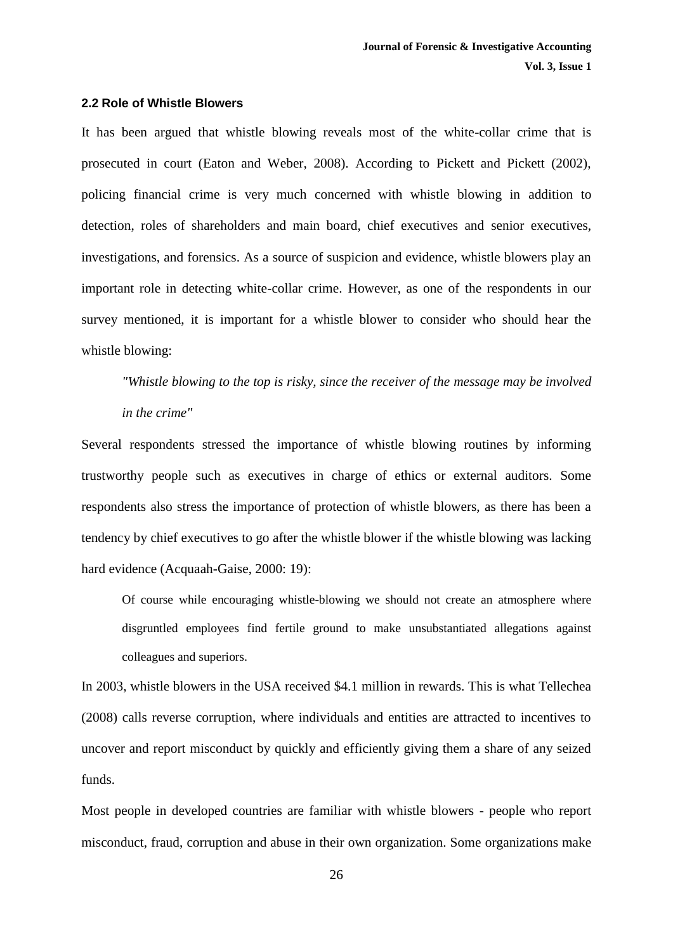#### **2.2 Role of Whistle Blowers**

It has been argued that whistle blowing reveals most of the white-collar crime that is prosecuted in court (Eaton and Weber, 2008). According to Pickett and Pickett (2002), policing financial crime is very much concerned with whistle blowing in addition to detection, roles of shareholders and main board, chief executives and senior executives, investigations, and forensics. As a source of suspicion and evidence, whistle blowers play an important role in detecting white-collar crime. However, as one of the respondents in our survey mentioned, it is important for a whistle blower to consider who should hear the whistle blowing:

*"Whistle blowing to the top is risky, since the receiver of the message may be involved in the crime"* 

Several respondents stressed the importance of whistle blowing routines by informing trustworthy people such as executives in charge of ethics or external auditors. Some respondents also stress the importance of protection of whistle blowers, as there has been a tendency by chief executives to go after the whistle blower if the whistle blowing was lacking hard evidence (Acquaah-Gaise, 2000: 19):

Of course while encouraging whistle-blowing we should not create an atmosphere where disgruntled employees find fertile ground to make unsubstantiated allegations against colleagues and superiors.

In 2003, whistle blowers in the USA received \$4.1 million in rewards. This is what Tellechea (2008) calls reverse corruption, where individuals and entities are attracted to incentives to uncover and report misconduct by quickly and efficiently giving them a share of any seized funds.

Most people in developed countries are familiar with whistle blowers - people who report misconduct, fraud, corruption and abuse in their own organization. Some organizations make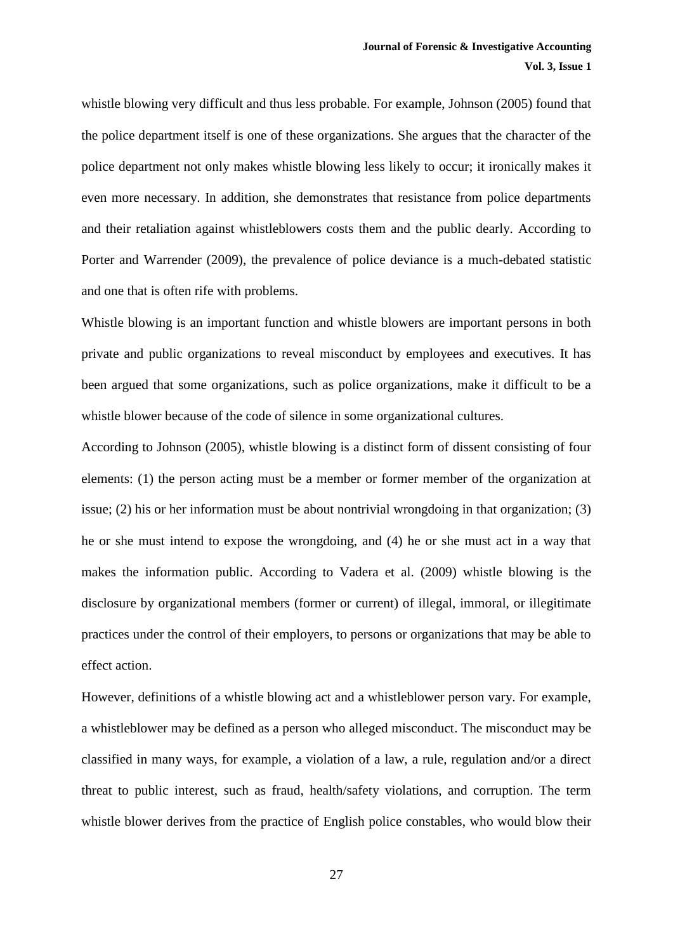whistle blowing very difficult and thus less probable. For example, Johnson (2005) found that the police department itself is one of these organizations. She argues that the character of the police department not only makes whistle blowing less likely to occur; it ironically makes it even more necessary. In addition, she demonstrates that resistance from police departments and their retaliation against whistleblowers costs them and the public dearly. According to Porter and Warrender (2009), the prevalence of police deviance is a much-debated statistic and one that is often rife with problems.

Whistle blowing is an important function and whistle blowers are important persons in both private and public organizations to reveal misconduct by employees and executives. It has been argued that some organizations, such as police organizations, make it difficult to be a whistle blower because of the code of silence in some organizational cultures.

According to Johnson (2005), whistle blowing is a distinct form of dissent consisting of four elements: (1) the person acting must be a member or former member of the organization at issue; (2) his or her information must be about nontrivial wrongdoing in that organization; (3) he or she must intend to expose the wrongdoing, and (4) he or she must act in a way that makes the information public. According to Vadera et al. (2009) whistle blowing is the disclosure by organizational members (former or current) of illegal, immoral, or illegitimate practices under the control of their employers, to persons or organizations that may be able to effect action.

However, definitions of a whistle blowing act and a whistleblower person vary. For example, a whistleblower may be defined as a person who alleged misconduct. The misconduct may be classified in many ways, for example, a violation of a law, a rule, regulation and/or a direct threat to public interest, such as fraud, health/safety violations, and corruption. The term whistle blower derives from the practice of English police constables, who would blow their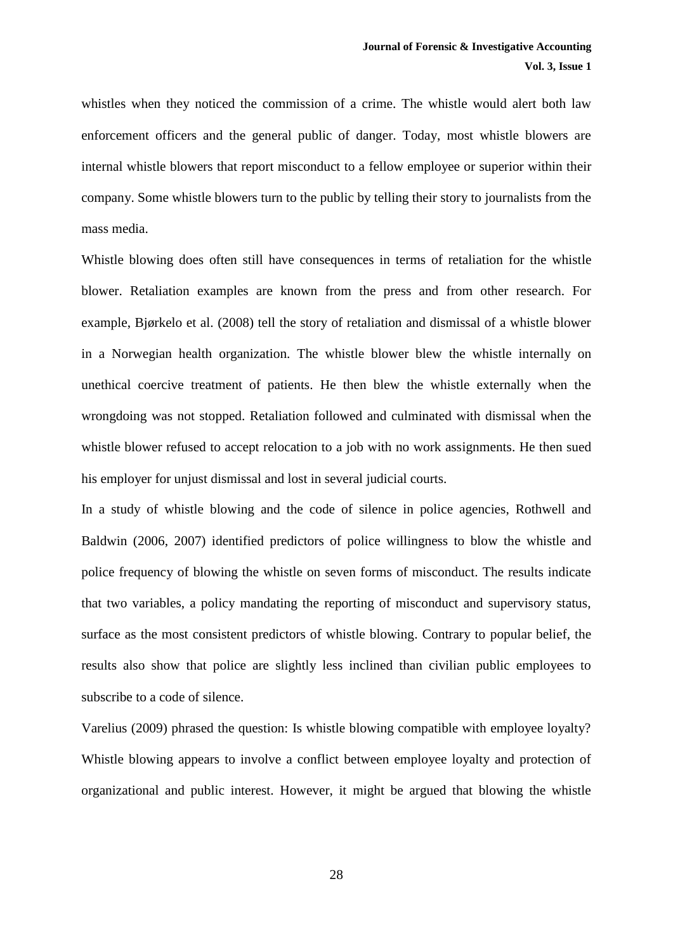whistles when they noticed the commission of a crime. The whistle would alert both law enforcement officers and the general public of danger. Today, most whistle blowers are internal whistle blowers that report misconduct to a fellow employee or superior within their company. Some whistle blowers turn to the public by telling their story to journalists from the mass media.

Whistle blowing does often still have consequences in terms of retaliation for the whistle blower. Retaliation examples are known from the press and from other research. For example, Bjørkelo et al. (2008) tell the story of retaliation and dismissal of a whistle blower in a Norwegian health organization. The whistle blower blew the whistle internally on unethical coercive treatment of patients. He then blew the whistle externally when the wrongdoing was not stopped. Retaliation followed and culminated with dismissal when the whistle blower refused to accept relocation to a job with no work assignments. He then sued his employer for unjust dismissal and lost in several judicial courts.

In a study of whistle blowing and the code of silence in police agencies, Rothwell and Baldwin (2006, 2007) identified predictors of police willingness to blow the whistle and police frequency of blowing the whistle on seven forms of misconduct. The results indicate that two variables, a policy mandating the reporting of misconduct and supervisory status, surface as the most consistent predictors of whistle blowing. Contrary to popular belief, the results also show that police are slightly less inclined than civilian public employees to subscribe to a code of silence.

Varelius (2009) phrased the question: Is whistle blowing compatible with employee loyalty? Whistle blowing appears to involve a conflict between employee loyalty and protection of organizational and public interest. However, it might be argued that blowing the whistle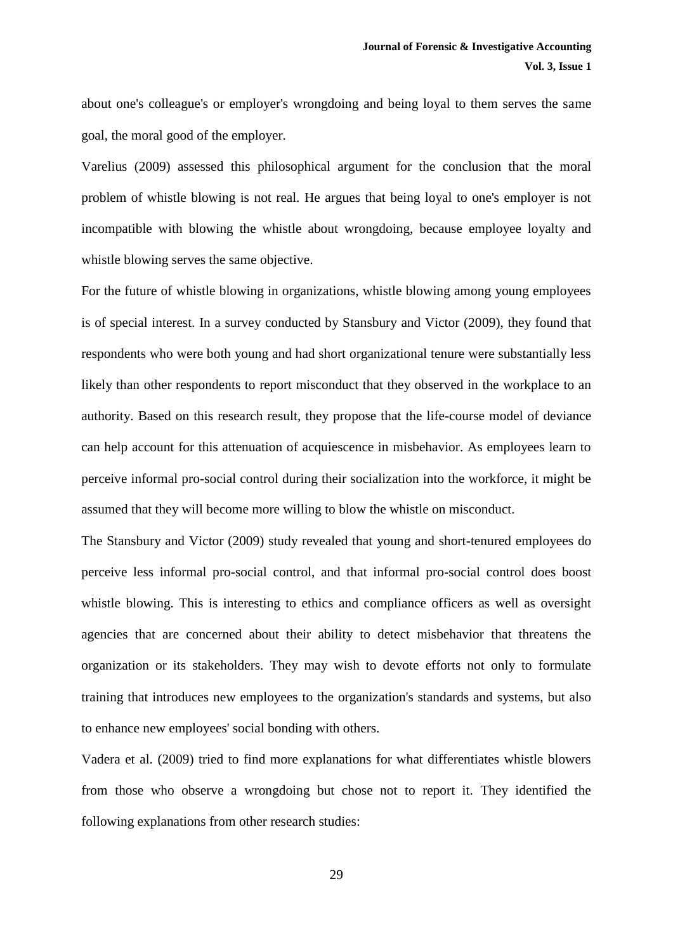about one's colleague's or employer's wrongdoing and being loyal to them serves the same goal, the moral good of the employer.

Varelius (2009) assessed this philosophical argument for the conclusion that the moral problem of whistle blowing is not real. He argues that being loyal to one's employer is not incompatible with blowing the whistle about wrongdoing, because employee loyalty and whistle blowing serves the same objective.

For the future of whistle blowing in organizations, whistle blowing among young employees is of special interest. In a survey conducted by Stansbury and Victor (2009), they found that respondents who were both young and had short organizational tenure were substantially less likely than other respondents to report misconduct that they observed in the workplace to an authority. Based on this research result, they propose that the life-course model of deviance can help account for this attenuation of acquiescence in misbehavior. As employees learn to perceive informal pro-social control during their socialization into the workforce, it might be assumed that they will become more willing to blow the whistle on misconduct.

The Stansbury and Victor (2009) study revealed that young and short-tenured employees do perceive less informal pro-social control, and that informal pro-social control does boost whistle blowing. This is interesting to ethics and compliance officers as well as oversight agencies that are concerned about their ability to detect misbehavior that threatens the organization or its stakeholders. They may wish to devote efforts not only to formulate training that introduces new employees to the organization's standards and systems, but also to enhance new employees' social bonding with others.

Vadera et al. (2009) tried to find more explanations for what differentiates whistle blowers from those who observe a wrongdoing but chose not to report it. They identified the following explanations from other research studies: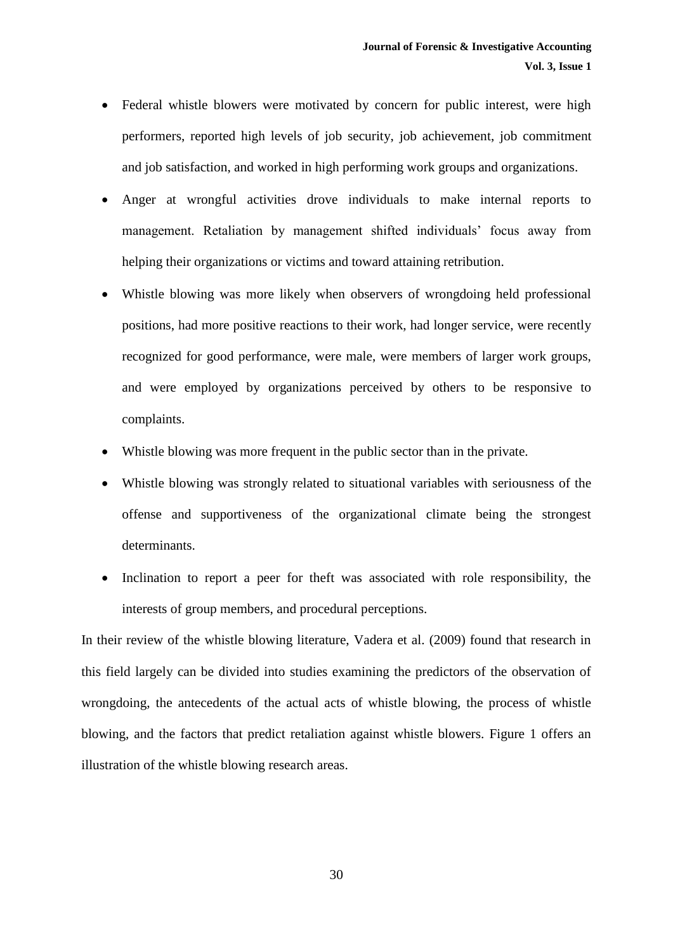- Federal whistle blowers were motivated by concern for public interest, were high performers, reported high levels of job security, job achievement, job commitment and job satisfaction, and worked in high performing work groups and organizations.
- Anger at wrongful activities drove individuals to make internal reports to management. Retaliation by management shifted individuals' focus away from helping their organizations or victims and toward attaining retribution.
- Whistle blowing was more likely when observers of wrongdoing held professional positions, had more positive reactions to their work, had longer service, were recently recognized for good performance, were male, were members of larger work groups, and were employed by organizations perceived by others to be responsive to complaints.
- Whistle blowing was more frequent in the public sector than in the private.
- Whistle blowing was strongly related to situational variables with seriousness of the offense and supportiveness of the organizational climate being the strongest determinants.
- Inclination to report a peer for theft was associated with role responsibility, the interests of group members, and procedural perceptions.

In their review of the whistle blowing literature, Vadera et al. (2009) found that research in this field largely can be divided into studies examining the predictors of the observation of wrongdoing, the antecedents of the actual acts of whistle blowing, the process of whistle blowing, and the factors that predict retaliation against whistle blowers. Figure 1 offers an illustration of the whistle blowing research areas.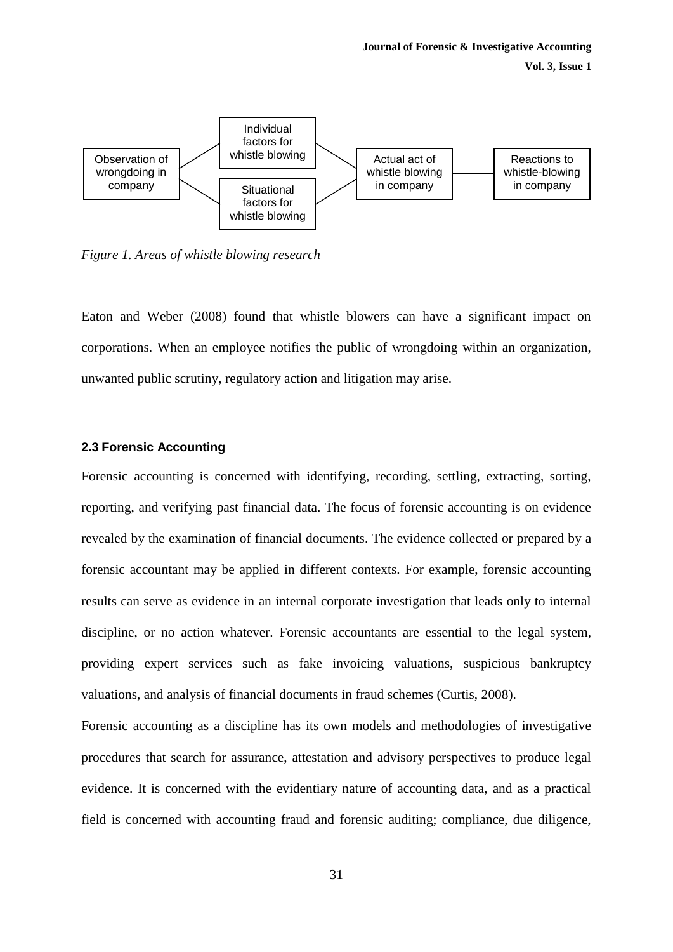**Vol. 3, Issue 1**



*Figure 1. Areas of whistle blowing research*

Eaton and Weber (2008) found that whistle blowers can have a significant impact on corporations. When an employee notifies the public of wrongdoing within an organization, unwanted public scrutiny, regulatory action and litigation may arise.

#### **2.3 Forensic Accounting**

Forensic accounting is concerned with identifying, recording, settling, extracting, sorting, reporting, and verifying past financial data. The focus of forensic accounting is on evidence revealed by the examination of financial documents. The evidence collected or prepared by a forensic accountant may be applied in different contexts. For example, forensic accounting results can serve as evidence in an internal corporate investigation that leads only to internal discipline, or no action whatever. Forensic accountants are essential to the legal system, providing expert services such as fake invoicing valuations, suspicious bankruptcy valuations, and analysis of financial documents in fraud schemes (Curtis, 2008).

Forensic accounting as a discipline has its own models and methodologies of investigative procedures that search for assurance, attestation and advisory perspectives to produce legal evidence. It is concerned with the evidentiary nature of accounting data, and as a practical field is concerned with accounting fraud and forensic auditing; compliance, due diligence,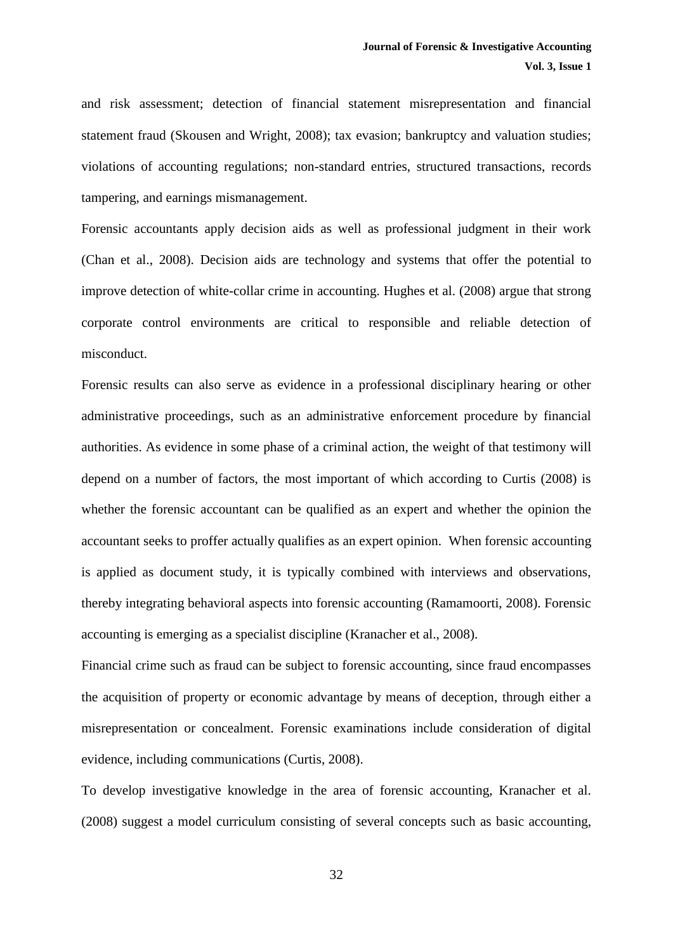and risk assessment; detection of financial statement misrepresentation and financial statement fraud (Skousen and Wright, 2008); tax evasion; bankruptcy and valuation studies; violations of accounting regulations; non-standard entries, structured transactions, records tampering, and earnings mismanagement.

Forensic accountants apply decision aids as well as professional judgment in their work (Chan et al., 2008). Decision aids are technology and systems that offer the potential to improve detection of white-collar crime in accounting. Hughes et al. (2008) argue that strong corporate control environments are critical to responsible and reliable detection of misconduct.

Forensic results can also serve as evidence in a professional disciplinary hearing or other administrative proceedings, such as an administrative enforcement procedure by financial authorities. As evidence in some phase of a criminal action, the weight of that testimony will depend on a number of factors, the most important of which according to Curtis (2008) is whether the forensic accountant can be qualified as an expert and whether the opinion the accountant seeks to proffer actually qualifies as an expert opinion. When forensic accounting is applied as document study, it is typically combined with interviews and observations, thereby integrating behavioral aspects into forensic accounting (Ramamoorti, 2008). Forensic accounting is emerging as a specialist discipline (Kranacher et al., 2008).

Financial crime such as fraud can be subject to forensic accounting, since fraud encompasses the acquisition of property or economic advantage by means of deception, through either a misrepresentation or concealment. Forensic examinations include consideration of digital evidence, including communications (Curtis, 2008).

To develop investigative knowledge in the area of forensic accounting, Kranacher et al. (2008) suggest a model curriculum consisting of several concepts such as basic accounting,

32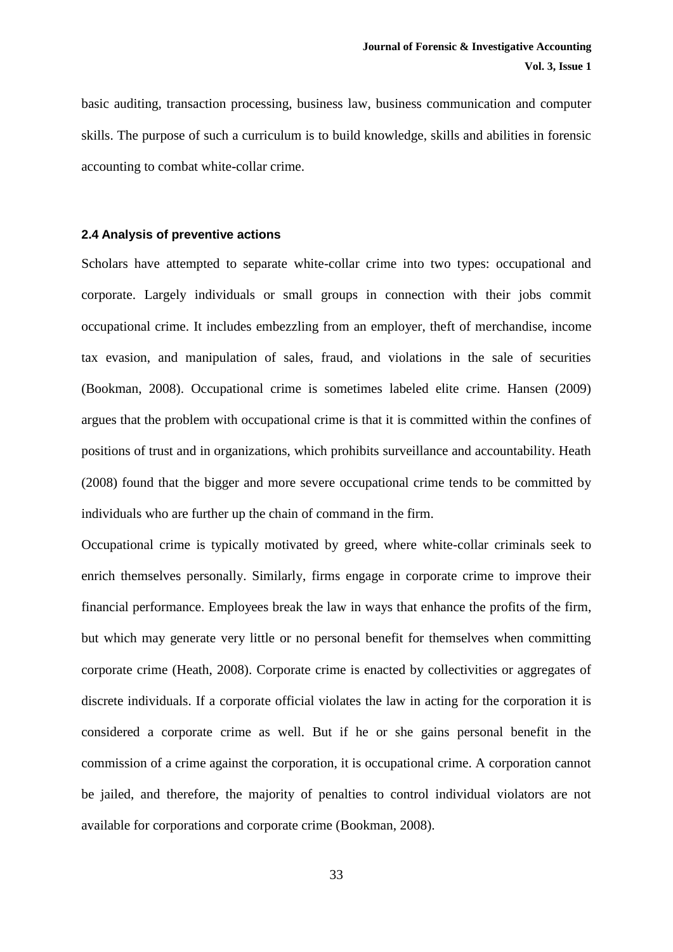basic auditing, transaction processing, business law, business communication and computer skills. The purpose of such a curriculum is to build knowledge, skills and abilities in forensic accounting to combat white-collar crime.

#### **2.4 Analysis of preventive actions**

Scholars have attempted to separate white-collar crime into two types: occupational and corporate. Largely individuals or small groups in connection with their jobs commit occupational crime. It includes embezzling from an employer, theft of merchandise, income tax evasion, and manipulation of sales, fraud, and violations in the sale of securities (Bookman, 2008). Occupational crime is sometimes labeled elite crime. Hansen (2009) argues that the problem with occupational crime is that it is committed within the confines of positions of trust and in organizations, which prohibits surveillance and accountability. Heath (2008) found that the bigger and more severe occupational crime tends to be committed by individuals who are further up the chain of command in the firm.

Occupational crime is typically motivated by greed, where white-collar criminals seek to enrich themselves personally. Similarly, firms engage in corporate crime to improve their financial performance. Employees break the law in ways that enhance the profits of the firm, but which may generate very little or no personal benefit for themselves when committing corporate crime (Heath, 2008). Corporate crime is enacted by collectivities or aggregates of discrete individuals. If a corporate official violates the law in acting for the corporation it is considered a corporate crime as well. But if he or she gains personal benefit in the commission of a crime against the corporation, it is occupational crime. A corporation cannot be jailed, and therefore, the majority of penalties to control individual violators are not available for corporations and corporate crime (Bookman, 2008).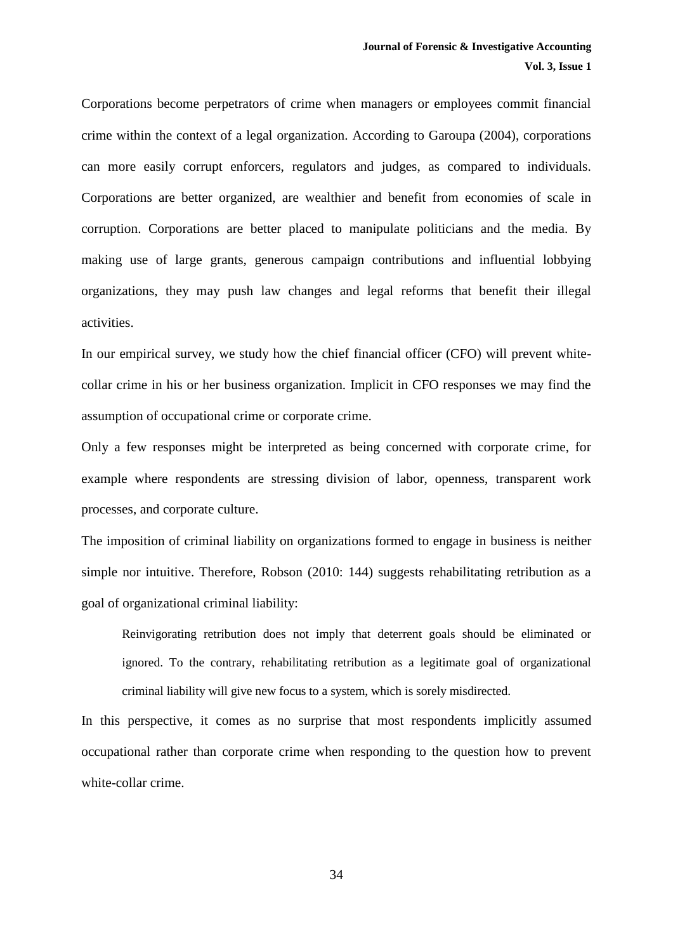Corporations become perpetrators of crime when managers or employees commit financial crime within the context of a legal organization. According to Garoupa (2004), corporations can more easily corrupt enforcers, regulators and judges, as compared to individuals. Corporations are better organized, are wealthier and benefit from economies of scale in corruption. Corporations are better placed to manipulate politicians and the media. By making use of large grants, generous campaign contributions and influential lobbying organizations, they may push law changes and legal reforms that benefit their illegal activities.

In our empirical survey, we study how the chief financial officer (CFO) will prevent whitecollar crime in his or her business organization. Implicit in CFO responses we may find the assumption of occupational crime or corporate crime.

Only a few responses might be interpreted as being concerned with corporate crime, for example where respondents are stressing division of labor, openness, transparent work processes, and corporate culture.

The imposition of criminal liability on organizations formed to engage in business is neither simple nor intuitive. Therefore, Robson (2010: 144) suggests rehabilitating retribution as a goal of organizational criminal liability:

Reinvigorating retribution does not imply that deterrent goals should be eliminated or ignored. To the contrary, rehabilitating retribution as a legitimate goal of organizational criminal liability will give new focus to a system, which is sorely misdirected.

In this perspective, it comes as no surprise that most respondents implicitly assumed occupational rather than corporate crime when responding to the question how to prevent white-collar crime.

34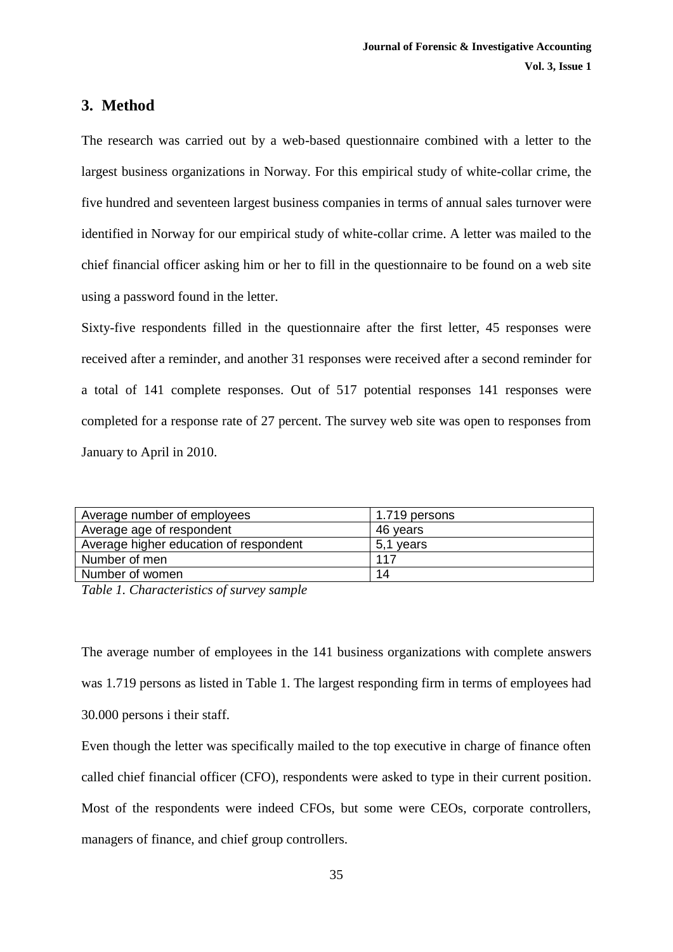## **3. Method**

The research was carried out by a web-based questionnaire combined with a letter to the largest business organizations in Norway. For this empirical study of white-collar crime, the five hundred and seventeen largest business companies in terms of annual sales turnover were identified in Norway for our empirical study of white-collar crime. A letter was mailed to the chief financial officer asking him or her to fill in the questionnaire to be found on a web site using a password found in the letter.

Sixty-five respondents filled in the questionnaire after the first letter, 45 responses were received after a reminder, and another 31 responses were received after a second reminder for a total of 141 complete responses. Out of 517 potential responses 141 responses were completed for a response rate of 27 percent. The survey web site was open to responses from January to April in 2010.

| Average number of employees            | 1.719 persons |
|----------------------------------------|---------------|
| Average age of respondent              | 46 years      |
| Average higher education of respondent | 5,1 years     |
| Number of men                          | 117           |
| Number of women                        | 14            |

*Table 1. Characteristics of survey sample*

The average number of employees in the 141 business organizations with complete answers was 1.719 persons as listed in Table 1. The largest responding firm in terms of employees had 30.000 persons i their staff.

Even though the letter was specifically mailed to the top executive in charge of finance often called chief financial officer (CFO), respondents were asked to type in their current position. Most of the respondents were indeed CFOs, but some were CEOs, corporate controllers, managers of finance, and chief group controllers.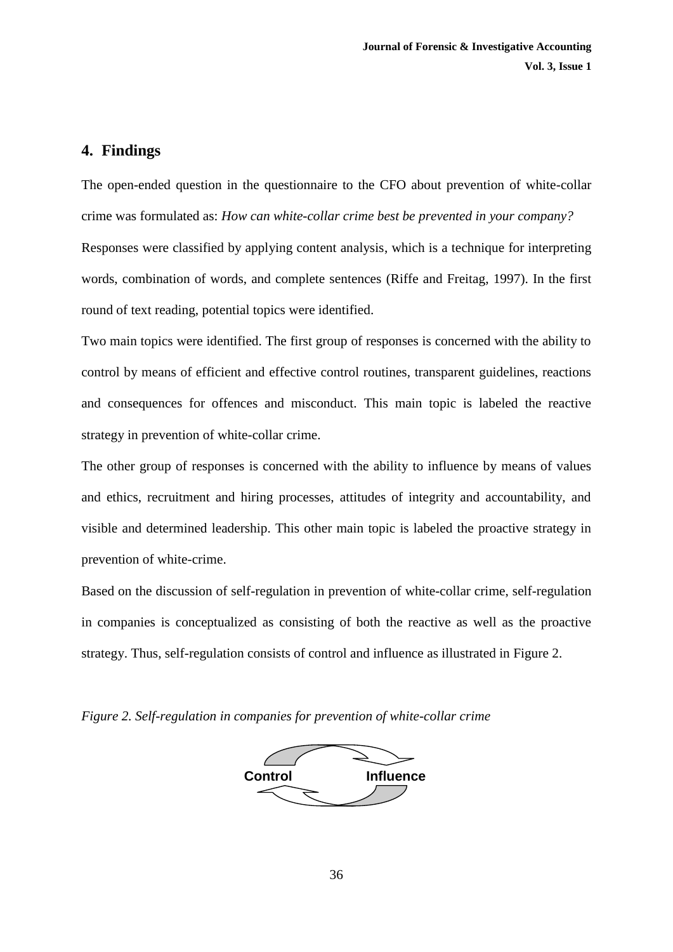## **4. Findings**

The open-ended question in the questionnaire to the CFO about prevention of white-collar crime was formulated as: *How can white-collar crime best be prevented in your company?* Responses were classified by applying content analysis, which is a technique for interpreting words, combination of words, and complete sentences (Riffe and Freitag, 1997). In the first round of text reading, potential topics were identified.

Two main topics were identified. The first group of responses is concerned with the ability to control by means of efficient and effective control routines, transparent guidelines, reactions and consequences for offences and misconduct. This main topic is labeled the reactive strategy in prevention of white-collar crime.

The other group of responses is concerned with the ability to influence by means of values and ethics, recruitment and hiring processes, attitudes of integrity and accountability, and visible and determined leadership. This other main topic is labeled the proactive strategy in prevention of white-crime.

Based on the discussion of self-regulation in prevention of white-collar crime, self-regulation in companies is conceptualized as consisting of both the reactive as well as the proactive strategy. Thus, self-regulation consists of control and influence as illustrated in Figure 2.

*Figure 2. Self-regulation in companies for prevention of white-collar crime*

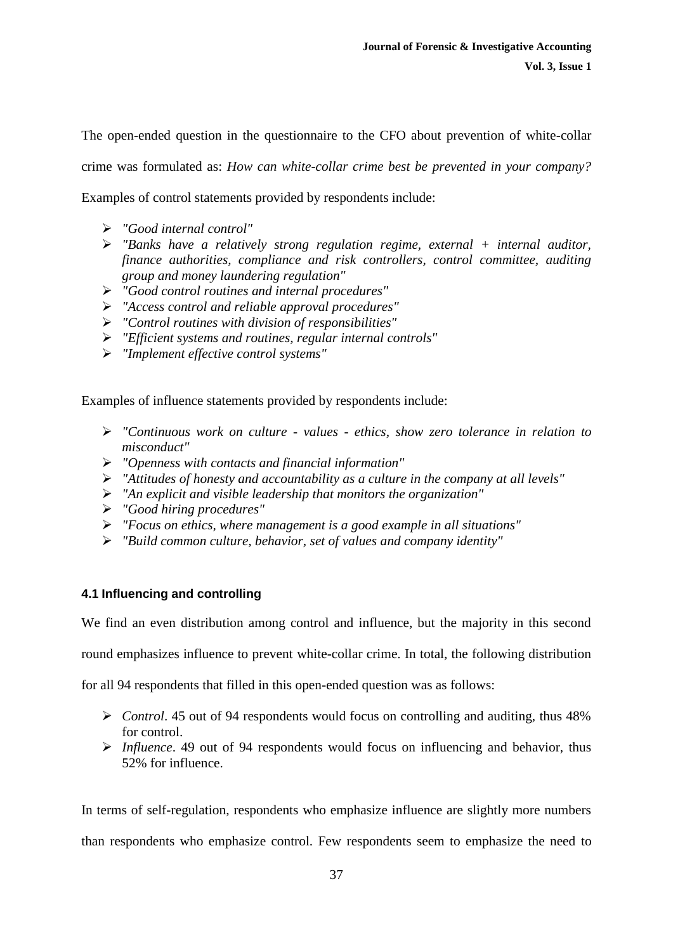The open-ended question in the questionnaire to the CFO about prevention of white-collar crime was formulated as: *How can white-collar crime best be prevented in your company?*  Examples of control statements provided by respondents include:

- *"Good internal control"*
- *"Banks have a relatively strong regulation regime, external + internal auditor, finance authorities, compliance and risk controllers, control committee, auditing group and money laundering regulation"*
- *"Good control routines and internal procedures"*
- *"Access control and reliable approval procedures"*
- *"Control routines with division of responsibilities"*
- *"Efficient systems and routines, regular internal controls"*
- *"Implement effective control systems"*

Examples of influence statements provided by respondents include:

- *"Continuous work on culture - values - ethics, show zero tolerance in relation to misconduct"*
- *"Openness with contacts and financial information"*
- *"Attitudes of honesty and accountability as a culture in the company at all levels"*
- *"An explicit and visible leadership that monitors the organization"*
- *"Good hiring procedures"*
- *"Focus on ethics, where management is a good example in all situations"*
- *"Build common culture, behavior, set of values and company identity"*

#### **4.1 Influencing and controlling**

We find an even distribution among control and influence, but the majority in this second

round emphasizes influence to prevent white-collar crime. In total, the following distribution

for all 94 respondents that filled in this open-ended question was as follows:

- *Control*. 45 out of 94 respondents would focus on controlling and auditing, thus 48% for control.
- *Influence*. 49 out of 94 respondents would focus on influencing and behavior, thus 52% for influence.

In terms of self-regulation, respondents who emphasize influence are slightly more numbers than respondents who emphasize control. Few respondents seem to emphasize the need to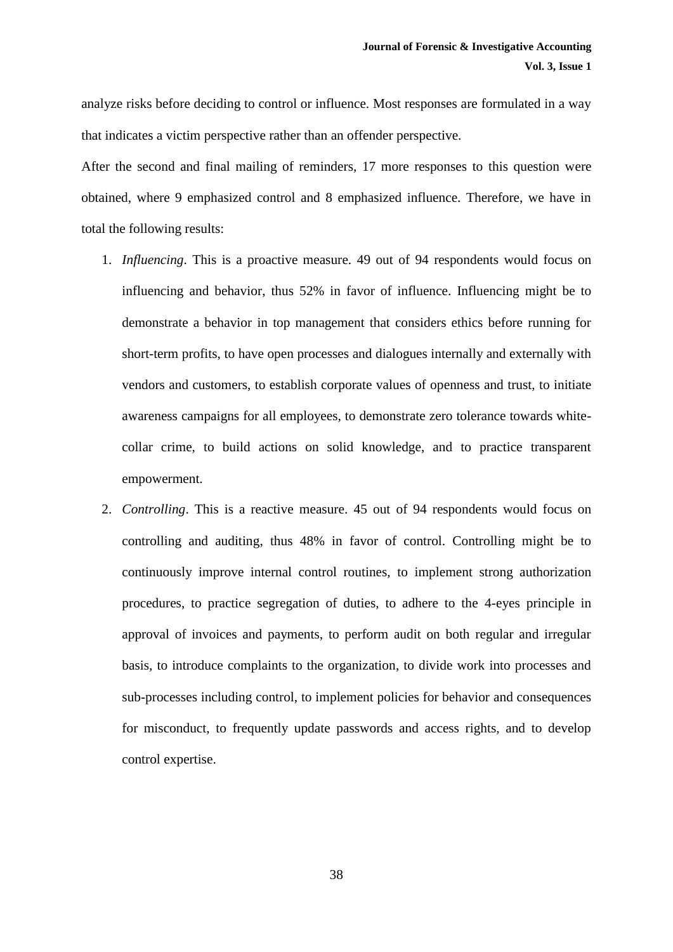analyze risks before deciding to control or influence. Most responses are formulated in a way that indicates a victim perspective rather than an offender perspective.

After the second and final mailing of reminders, 17 more responses to this question were obtained, where 9 emphasized control and 8 emphasized influence. Therefore, we have in total the following results:

- 1. *Influencing*. This is a proactive measure. 49 out of 94 respondents would focus on influencing and behavior, thus 52% in favor of influence. Influencing might be to demonstrate a behavior in top management that considers ethics before running for short-term profits, to have open processes and dialogues internally and externally with vendors and customers, to establish corporate values of openness and trust, to initiate awareness campaigns for all employees, to demonstrate zero tolerance towards whitecollar crime, to build actions on solid knowledge, and to practice transparent empowerment.
- 2. *Controlling*. This is a reactive measure. 45 out of 94 respondents would focus on controlling and auditing, thus 48% in favor of control. Controlling might be to continuously improve internal control routines, to implement strong authorization procedures, to practice segregation of duties, to adhere to the 4-eyes principle in approval of invoices and payments, to perform audit on both regular and irregular basis, to introduce complaints to the organization, to divide work into processes and sub-processes including control, to implement policies for behavior and consequences for misconduct, to frequently update passwords and access rights, and to develop control expertise.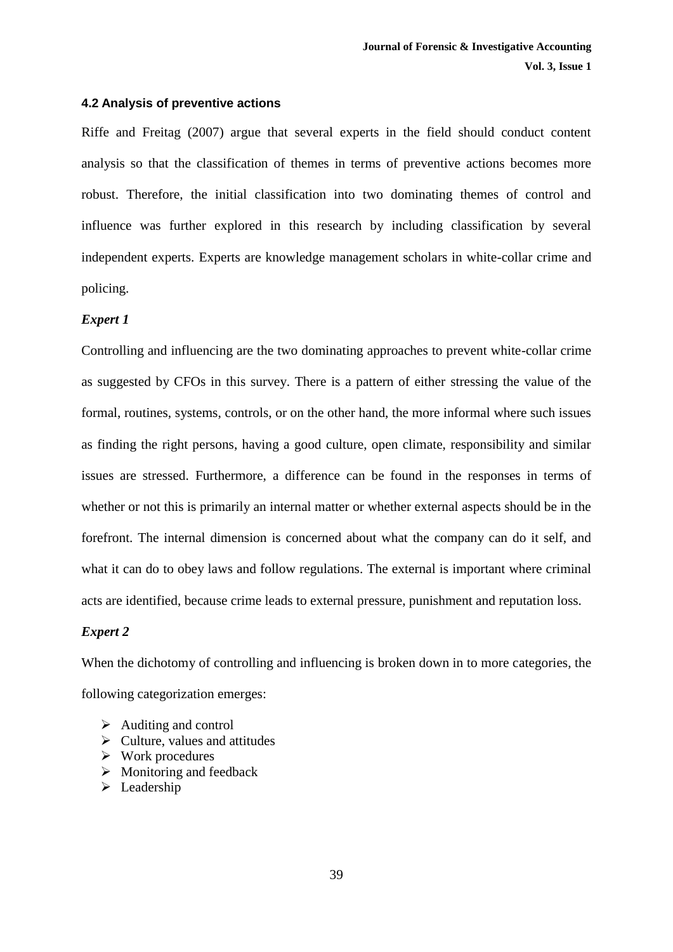#### **4.2 Analysis of preventive actions**

Riffe and Freitag (2007) argue that several experts in the field should conduct content analysis so that the classification of themes in terms of preventive actions becomes more robust. Therefore, the initial classification into two dominating themes of control and influence was further explored in this research by including classification by several independent experts. Experts are knowledge management scholars in white-collar crime and policing.

#### *Expert 1*

Controlling and influencing are the two dominating approaches to prevent white-collar crime as suggested by CFOs in this survey. There is a pattern of either stressing the value of the formal, routines, systems, controls, or on the other hand, the more informal where such issues as finding the right persons, having a good culture, open climate, responsibility and similar issues are stressed. Furthermore, a difference can be found in the responses in terms of whether or not this is primarily an internal matter or whether external aspects should be in the forefront. The internal dimension is concerned about what the company can do it self, and what it can do to obey laws and follow regulations. The external is important where criminal acts are identified, because crime leads to external pressure, punishment and reputation loss.

#### *Expert 2*

When the dichotomy of controlling and influencing is broken down in to more categories, the following categorization emerges:

- $\triangleright$  Auditing and control
- $\triangleright$  Culture, values and attitudes
- $\triangleright$  Work procedures
- $\triangleright$  Monitoring and feedback
- $\blacktriangleright$  Leadership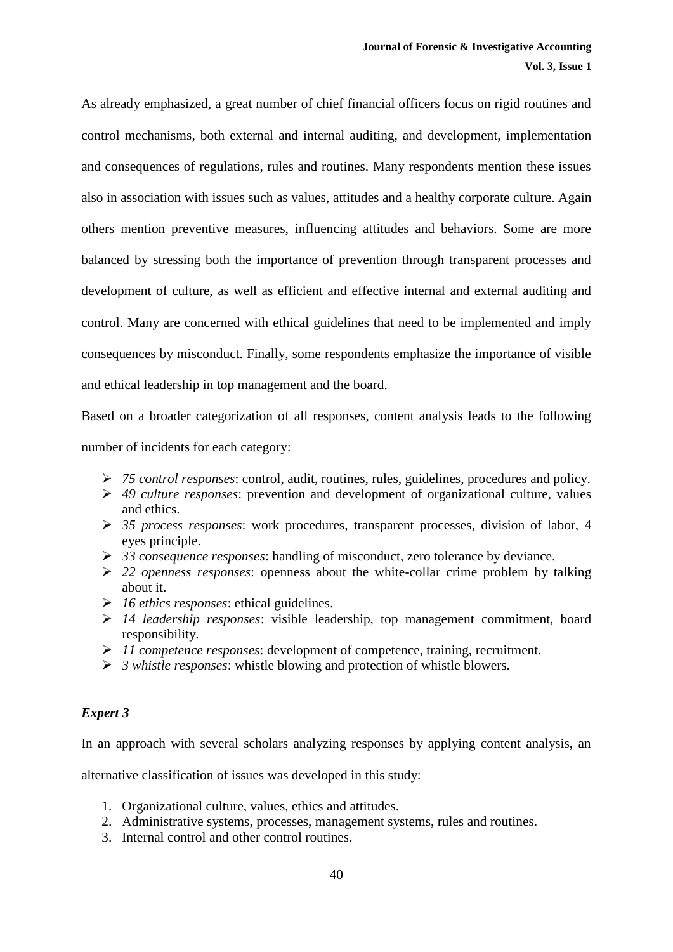As already emphasized, a great number of chief financial officers focus on rigid routines and control mechanisms, both external and internal auditing, and development, implementation and consequences of regulations, rules and routines. Many respondents mention these issues also in association with issues such as values, attitudes and a healthy corporate culture. Again others mention preventive measures, influencing attitudes and behaviors. Some are more balanced by stressing both the importance of prevention through transparent processes and development of culture, as well as efficient and effective internal and external auditing and control. Many are concerned with ethical guidelines that need to be implemented and imply consequences by misconduct. Finally, some respondents emphasize the importance of visible and ethical leadership in top management and the board.

Based on a broader categorization of all responses, content analysis leads to the following number of incidents for each category:

- *75 control responses*: control, audit, routines, rules, guidelines, procedures and policy.
- *49 culture responses*: prevention and development of organizational culture, values and ethics.
- *35 process responses*: work procedures, transparent processes, division of labor, 4 eyes principle.
- *33 consequence responses*: handling of misconduct, zero tolerance by deviance.
- *22 openness responses*: openness about the white-collar crime problem by talking about it.
- *16 ethics responses*: ethical guidelines.
- *14 leadership responses*: visible leadership, top management commitment, board responsibility.
- *11 competence responses*: development of competence, training, recruitment.
- *3 whistle responses*: whistle blowing and protection of whistle blowers.

### *Expert 3*

In an approach with several scholars analyzing responses by applying content analysis, an

alternative classification of issues was developed in this study:

- 1. Organizational culture, values, ethics and attitudes.
- 2. Administrative systems, processes, management systems, rules and routines.
- 3. Internal control and other control routines.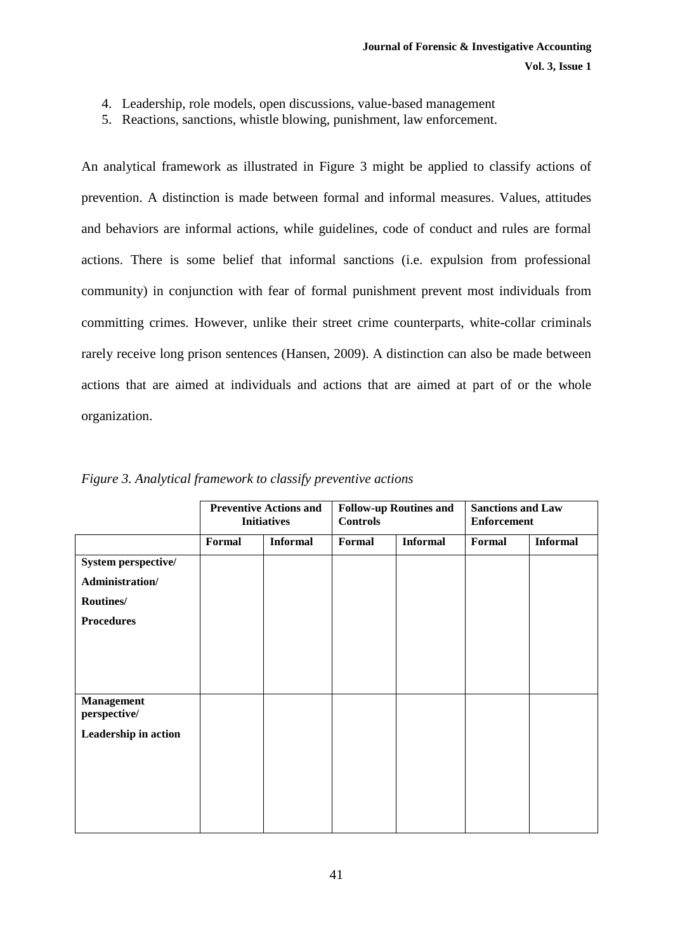- 4. Leadership, role models, open discussions, value-based management
- 5. Reactions, sanctions, whistle blowing, punishment, law enforcement.

An analytical framework as illustrated in Figure 3 might be applied to classify actions of prevention. A distinction is made between formal and informal measures. Values, attitudes and behaviors are informal actions, while guidelines, code of conduct and rules are formal actions. There is some belief that informal sanctions (i.e. expulsion from professional community) in conjunction with fear of formal punishment prevent most individuals from committing crimes. However, unlike their street crime counterparts, white-collar criminals rarely receive long prison sentences (Hansen, 2009). A distinction can also be made between actions that are aimed at individuals and actions that are aimed at part of or the whole organization.

|                                        | <b>Preventive Actions and</b><br><b>Initiatives</b> |                 | <b>Follow-up Routines and</b><br><b>Controls</b> |                 | <b>Sanctions and Law</b><br><b>Enforcement</b> |                 |
|----------------------------------------|-----------------------------------------------------|-----------------|--------------------------------------------------|-----------------|------------------------------------------------|-----------------|
|                                        | Formal                                              | <b>Informal</b> | Formal                                           | <b>Informal</b> | Formal                                         | <b>Informal</b> |
| System perspective/<br>Administration/ |                                                     |                 |                                                  |                 |                                                |                 |
| Routines/                              |                                                     |                 |                                                  |                 |                                                |                 |
| <b>Procedures</b>                      |                                                     |                 |                                                  |                 |                                                |                 |
|                                        |                                                     |                 |                                                  |                 |                                                |                 |
| <b>Management</b><br>perspective/      |                                                     |                 |                                                  |                 |                                                |                 |
| Leadership in action                   |                                                     |                 |                                                  |                 |                                                |                 |
|                                        |                                                     |                 |                                                  |                 |                                                |                 |

*Figure 3. Analytical framework to classify preventive actions*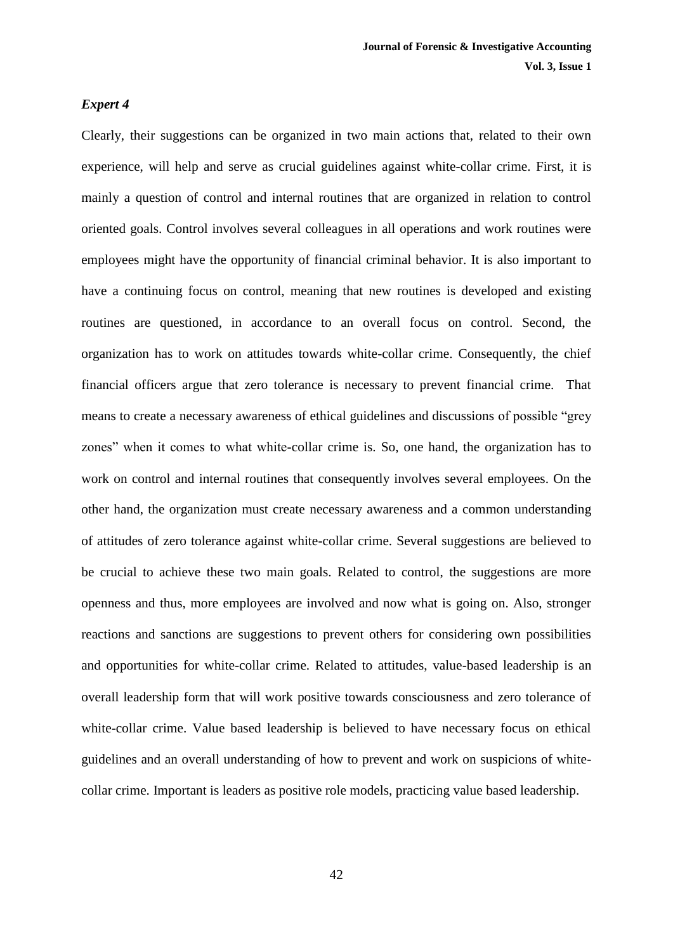#### *Expert 4*

Clearly, their suggestions can be organized in two main actions that, related to their own experience, will help and serve as crucial guidelines against white-collar crime. First, it is mainly a question of control and internal routines that are organized in relation to control oriented goals. Control involves several colleagues in all operations and work routines were employees might have the opportunity of financial criminal behavior. It is also important to have a continuing focus on control, meaning that new routines is developed and existing routines are questioned, in accordance to an overall focus on control. Second, the organization has to work on attitudes towards white-collar crime. Consequently, the chief financial officers argue that zero tolerance is necessary to prevent financial crime. That means to create a necessary awareness of ethical guidelines and discussions of possible "grey zones" when it comes to what white-collar crime is. So, one hand, the organization has to work on control and internal routines that consequently involves several employees. On the other hand, the organization must create necessary awareness and a common understanding of attitudes of zero tolerance against white-collar crime. Several suggestions are believed to be crucial to achieve these two main goals. Related to control, the suggestions are more openness and thus, more employees are involved and now what is going on. Also, stronger reactions and sanctions are suggestions to prevent others for considering own possibilities and opportunities for white-collar crime. Related to attitudes, value-based leadership is an overall leadership form that will work positive towards consciousness and zero tolerance of white-collar crime. Value based leadership is believed to have necessary focus on ethical guidelines and an overall understanding of how to prevent and work on suspicions of whitecollar crime. Important is leaders as positive role models, practicing value based leadership.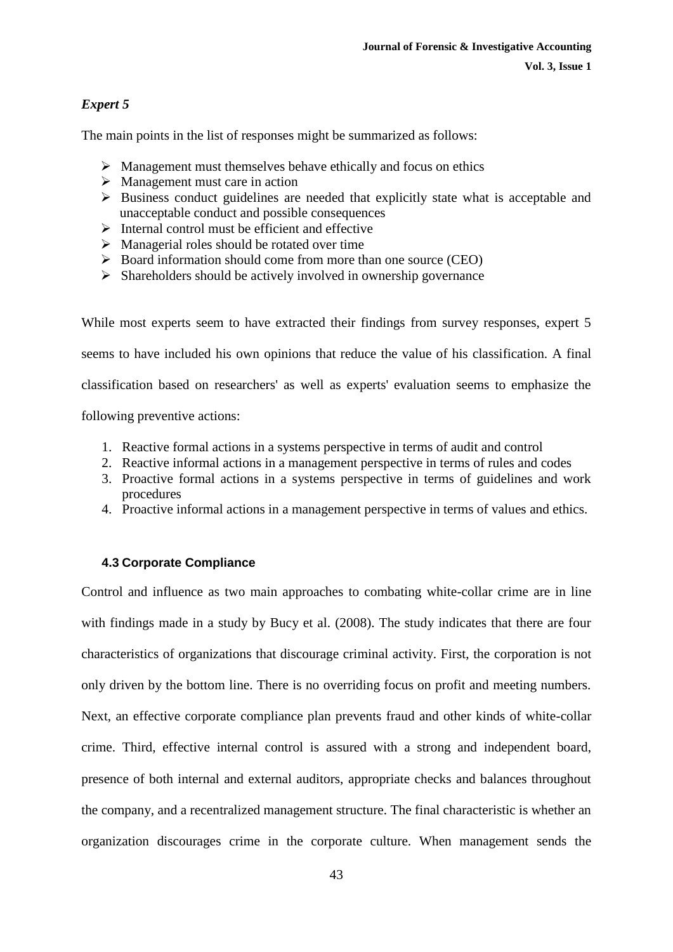#### **Vol. 3, Issue 1**

## *Expert 5*

The main points in the list of responses might be summarized as follows:

- $\triangleright$  Management must themselves behave ethically and focus on ethics
- $\triangleright$  Management must care in action
- $\triangleright$  Business conduct guidelines are needed that explicitly state what is acceptable and unacceptable conduct and possible consequences
- $\triangleright$  Internal control must be efficient and effective
- $\triangleright$  Managerial roles should be rotated over time
- $\triangleright$  Board information should come from more than one source (CEO)
- $\triangleright$  Shareholders should be actively involved in ownership governance

While most experts seem to have extracted their findings from survey responses, expert 5 seems to have included his own opinions that reduce the value of his classification. A final classification based on researchers' as well as experts' evaluation seems to emphasize the following preventive actions:

- 1. Reactive formal actions in a systems perspective in terms of audit and control
- 2. Reactive informal actions in a management perspective in terms of rules and codes
- 3. Proactive formal actions in a systems perspective in terms of guidelines and work procedures
- 4. Proactive informal actions in a management perspective in terms of values and ethics.

## **4.3 Corporate Compliance**

Control and influence as two main approaches to combating white-collar crime are in line with findings made in a study by Bucy et al. (2008). The study indicates that there are four characteristics of organizations that discourage criminal activity. First, the corporation is not only driven by the bottom line. There is no overriding focus on profit and meeting numbers. Next, an effective corporate compliance plan prevents fraud and other kinds of white-collar crime. Third, effective internal control is assured with a strong and independent board, presence of both internal and external auditors, appropriate checks and balances throughout the company, and a recentralized management structure. The final characteristic is whether an organization discourages crime in the corporate culture. When management sends the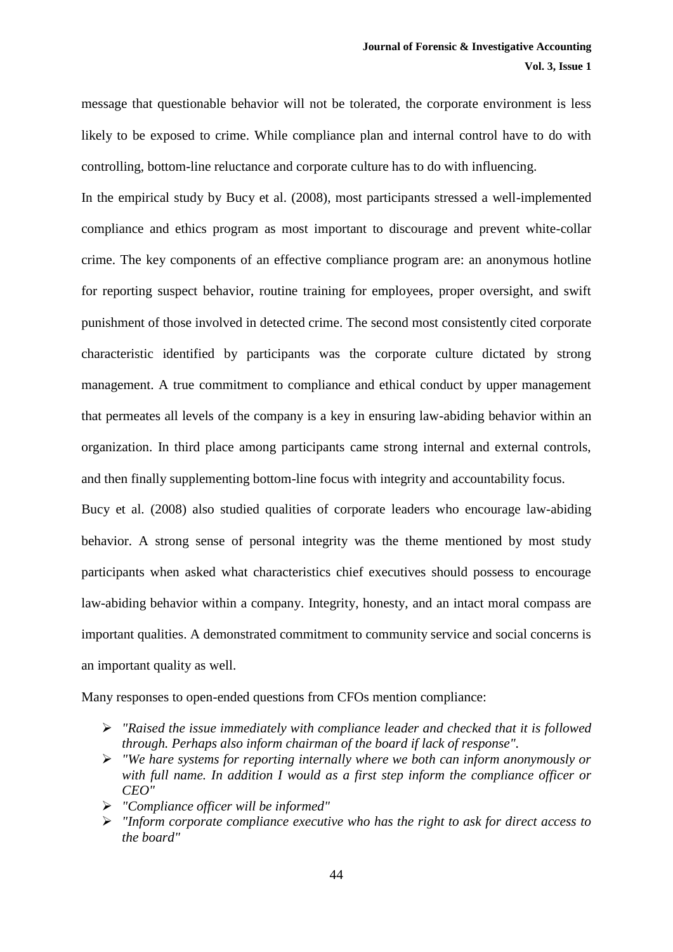message that questionable behavior will not be tolerated, the corporate environment is less likely to be exposed to crime. While compliance plan and internal control have to do with controlling, bottom-line reluctance and corporate culture has to do with influencing.

In the empirical study by Bucy et al. (2008), most participants stressed a well-implemented compliance and ethics program as most important to discourage and prevent white-collar crime. The key components of an effective compliance program are: an anonymous hotline for reporting suspect behavior, routine training for employees, proper oversight, and swift punishment of those involved in detected crime. The second most consistently cited corporate characteristic identified by participants was the corporate culture dictated by strong management. A true commitment to compliance and ethical conduct by upper management that permeates all levels of the company is a key in ensuring law-abiding behavior within an organization. In third place among participants came strong internal and external controls, and then finally supplementing bottom-line focus with integrity and accountability focus.

Bucy et al. (2008) also studied qualities of corporate leaders who encourage law-abiding behavior. A strong sense of personal integrity was the theme mentioned by most study participants when asked what characteristics chief executives should possess to encourage law-abiding behavior within a company. Integrity, honesty, and an intact moral compass are important qualities. A demonstrated commitment to community service and social concerns is an important quality as well.

Many responses to open-ended questions from CFOs mention compliance:

- *"Raised the issue immediately with compliance leader and checked that it is followed through. Perhaps also inform chairman of the board if lack of response".*
- *"We hare systems for reporting internally where we both can inform anonymously or with full name. In addition I would as a first step inform the compliance officer or CEO"*
- *"Compliance officer will be informed"*
- *"Inform corporate compliance executive who has the right to ask for direct access to the board"*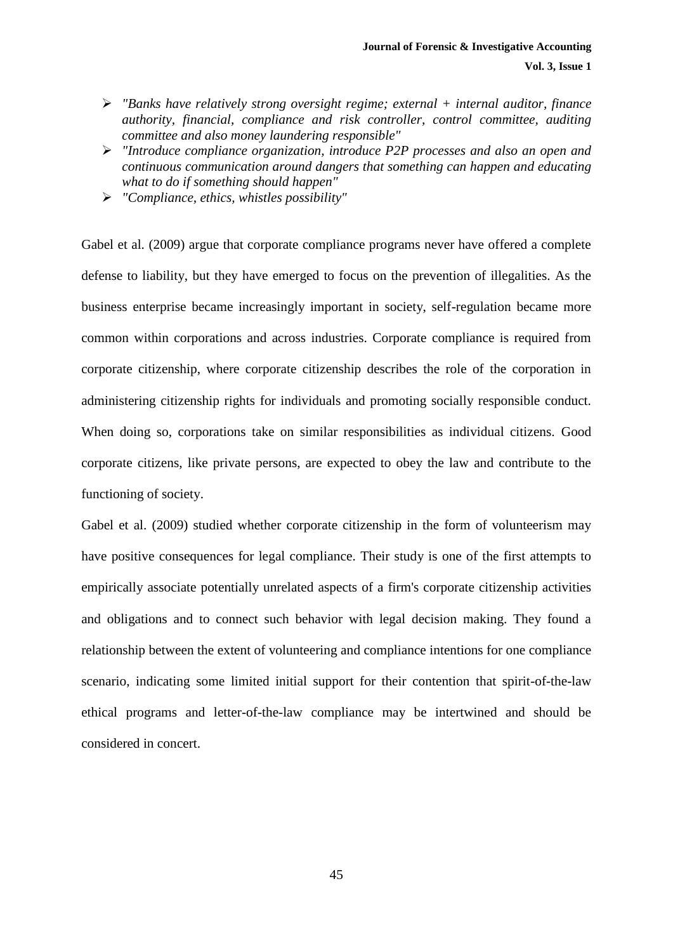- *"Banks have relatively strong oversight regime; external + internal auditor, finance authority, financial, compliance and risk controller, control committee, auditing committee and also money laundering responsible"*
- *"Introduce compliance organization, introduce P2P processes and also an open and continuous communication around dangers that something can happen and educating what to do if something should happen"*
- *"Compliance, ethics, whistles possibility"*

Gabel et al. (2009) argue that corporate compliance programs never have offered a complete defense to liability, but they have emerged to focus on the prevention of illegalities. As the business enterprise became increasingly important in society, self-regulation became more common within corporations and across industries. Corporate compliance is required from corporate citizenship, where corporate citizenship describes the role of the corporation in administering citizenship rights for individuals and promoting socially responsible conduct. When doing so, corporations take on similar responsibilities as individual citizens. Good corporate citizens, like private persons, are expected to obey the law and contribute to the functioning of society.

Gabel et al. (2009) studied whether corporate citizenship in the form of volunteerism may have positive consequences for legal compliance. Their study is one of the first attempts to empirically associate potentially unrelated aspects of a firm's corporate citizenship activities and obligations and to connect such behavior with legal decision making. They found a relationship between the extent of volunteering and compliance intentions for one compliance scenario, indicating some limited initial support for their contention that spirit-of-the-law ethical programs and letter-of-the-law compliance may be intertwined and should be considered in concert.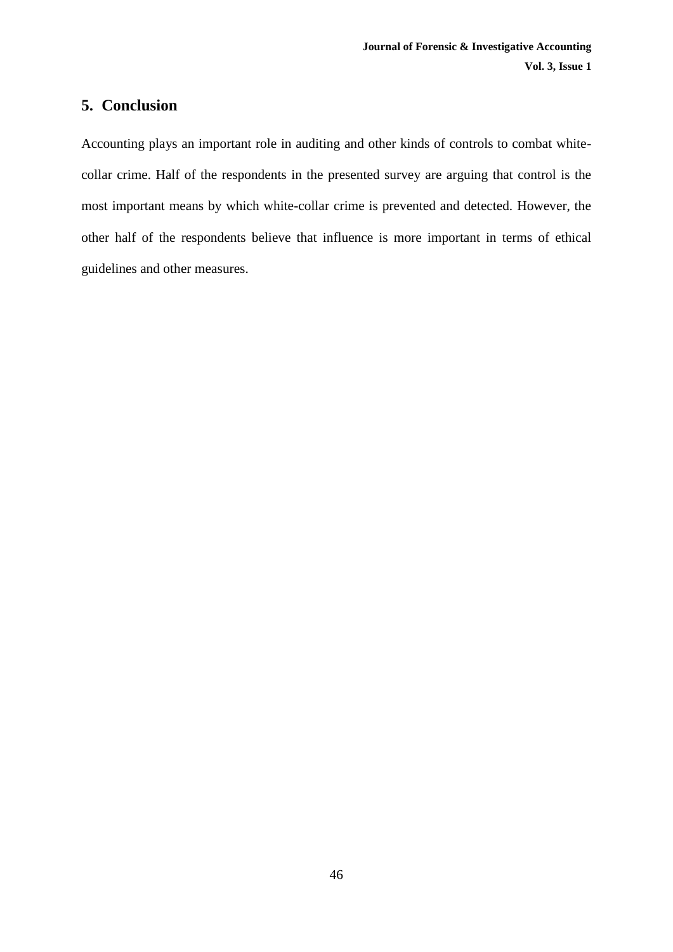## **5. Conclusion**

Accounting plays an important role in auditing and other kinds of controls to combat whitecollar crime. Half of the respondents in the presented survey are arguing that control is the most important means by which white-collar crime is prevented and detected. However, the other half of the respondents believe that influence is more important in terms of ethical guidelines and other measures.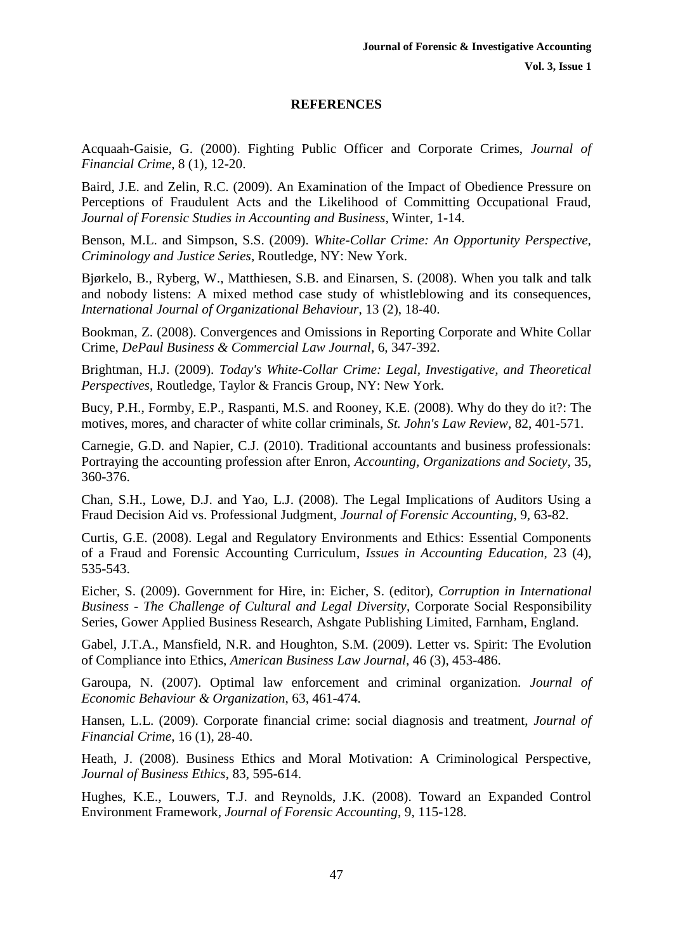#### **REFERENCES**

Acquaah-Gaisie, G. (2000). Fighting Public Officer and Corporate Crimes, *Journal of Financial Crime*, 8 (1), 12-20.

Baird, J.E. and Zelin, R.C. (2009). An Examination of the Impact of Obedience Pressure on Perceptions of Fraudulent Acts and the Likelihood of Committing Occupational Fraud, *Journal of Forensic Studies in Accounting and Business*, Winter, 1-14.

Benson, M.L. and Simpson, S.S. (2009). *White-Collar Crime: An Opportunity Perspective, Criminology and Justice Series*, Routledge, NY: New York.

Bjørkelo, B., Ryberg, W., Matthiesen, S.B. and Einarsen, S. (2008). When you talk and talk and nobody listens: A mixed method case study of whistleblowing and its consequences, *International Journal of Organizational Behaviour*, 13 (2), 18-40.

Bookman, Z. (2008). Convergences and Omissions in Reporting Corporate and White Collar Crime, *DePaul Business & Commercial Law Journal*, 6, 347-392.

Brightman, H.J. (2009). *Today's White-Collar Crime: Legal, Investigative, and Theoretical Perspectives*, Routledge, Taylor & Francis Group, NY: New York.

Bucy, P.H., Formby, E.P., Raspanti, M.S. and Rooney, K.E. (2008). Why do they do it?: The motives, mores, and character of white collar criminals, *St. John's Law Review*, 82, 401-571.

Carnegie, G.D. and Napier, C.J. (2010). Traditional accountants and business professionals: Portraying the accounting profession after Enron, *Accounting, Organizations and Society*, 35, 360-376.

Chan, S.H., Lowe, D.J. and Yao, L.J. (2008). The Legal Implications of Auditors Using a Fraud Decision Aid vs. Professional Judgment, *Journal of Forensic Accounting*, 9, 63-82.

Curtis, G.E. (2008). Legal and Regulatory Environments and Ethics: Essential Components of a Fraud and Forensic Accounting Curriculum, *Issues in Accounting Education*, 23 (4), 535-543.

Eicher, S. (2009). Government for Hire, in: Eicher, S. (editor), *Corruption in International Business - The Challenge of Cultural and Legal Diversity*, Corporate Social Responsibility Series, Gower Applied Business Research, Ashgate Publishing Limited, Farnham, England.

Gabel, J.T.A., Mansfield, N.R. and Houghton, S.M. (2009). Letter vs. Spirit: The Evolution of Compliance into Ethics, *American Business Law Journal*, 46 (3), 453-486.

Garoupa, N. (2007). Optimal law enforcement and criminal organization. *Journal of Economic Behaviour & Organization*, 63, 461-474.

Hansen, L.L. (2009). Corporate financial crime: social diagnosis and treatment, *Journal of Financial Crime*, 16 (1), 28-40.

Heath, J. (2008). Business Ethics and Moral Motivation: A Criminological Perspective, *Journal of Business Ethics*, 83, 595-614.

Hughes, K.E., Louwers, T.J. and Reynolds, J.K. (2008). Toward an Expanded Control Environment Framework, *Journal of Forensic Accounting*, 9, 115-128.